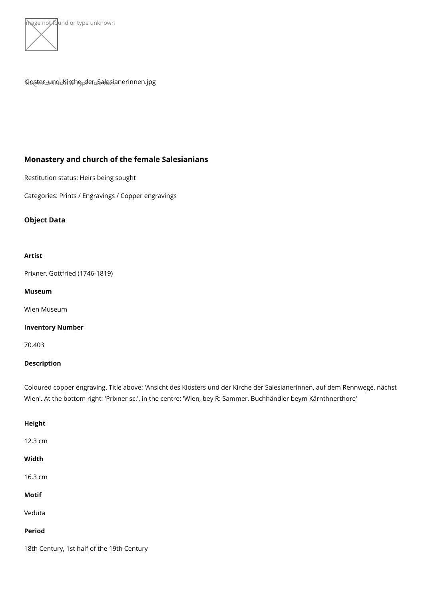

# $K_H$ lg ster $L_U$ nd $L_H$ Ki $\delta$ en e $\rho$ d en k $S$ a $\psi$ e sianerinnen.jpg

Monastery and church of the female Salesianians

Restitution status: Heirs being sought

Categories: Prints / Engravings / Copper engravings

Object Data

Artist

[Prixner, Gottfried \(](https://www.kunstdatenbank.at/search-for-objects/artist/prixner  gottfried  1746-1819 )1746-1819)

Museum

[Wien Mus](https://www.kunstdatenbank.at//detail-view-museum/wien-museum.html)eum

Inventory Number

70.403

Description

Coloured copper engraving. Title above: 'Ansicht des Klosters und der Kirche der Sales Wien'. At the bottom right: 'Prixner sc.', in the centre: 'Wien, bey R: Sammer, Buchhän

Height

12.3 cm

Width

16.3 cm

Motif

Veduta

Period

18th Century, 1st half of the 19th Century